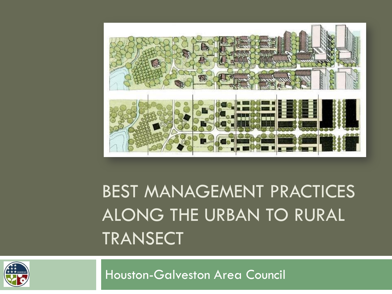

### BEST MANAGEMENT PRACTICES ALONG THE URBAN TO RURAL TRANSECT



Houston-Galveston Area Council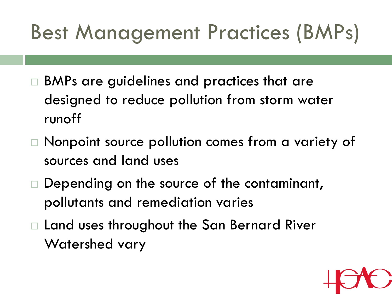# Best Management Practices (BMPs)

- □ BMPs are guidelines and practices that are designed to reduce pollution from storm water runoff
- Nonpoint source pollution comes from a variety of sources and land uses
- □ Depending on the source of the contaminant, pollutants and remediation varies
- □ Land uses throughout the San Bernard River Watershed vary

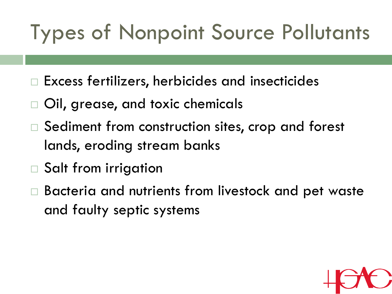## Types of Nonpoint Source Pollutants

- $\Box$  Excess fertilizers, herbicides and insecticides
- Oil, grease, and toxic chemicals
- □ Sediment from construction sites, crop and forest lands, eroding stream banks
- □ Salt from irrigation
- Bacteria and nutrients from livestock and pet waste and faulty septic systems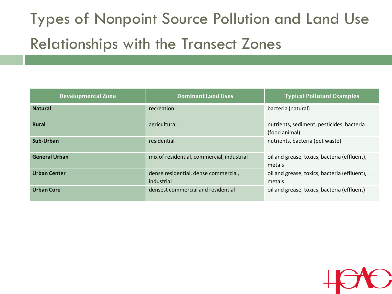### Types of Nonpoint Source Pollution and Land Use Relationships with the Transect Zones

| <b>Developmental Zone</b> | <b>Dominant Land Uses</b>                          | <b>Typical Pollutant Examples</b>                          |  |
|---------------------------|----------------------------------------------------|------------------------------------------------------------|--|
| <b>Natural</b>            | recreation                                         | bacteria (natural)                                         |  |
| <b>Rural</b>              | agricultural                                       | nutrients, sediment, pesticides, bacteria<br>(food animal) |  |
| Sub-Urban                 | residential                                        | nutrients, bacteria (pet waste)                            |  |
| <b>General Urban</b>      | mix of residential, commercial, industrial         | oil and grease, toxics, bacteria (effluent),<br>metals     |  |
| <b>Urban Center</b>       | dense residential, dense commercial,<br>industrial | oil and grease, toxics, bacteria (effluent),<br>metals     |  |
| <b>Urban Core</b>         | densest commercial and residential                 | oil and grease, toxics, bacteria (effluent)                |  |

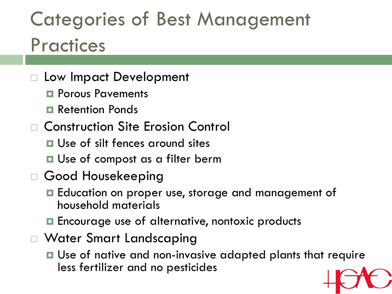### Categories of Best Management **Practices**

- Low Impact Development
	- **Porous Pavements**
	- **Retention Ponds**
- Construction Site Erosion Control
	- **□** Use of silt fences around sites
	- **□** Use of compost as a filter berm
- Good Housekeeping
	- **E** Education on proper use, storage and management of household materials
	- **□** Encourage use of alternative, nontoxic products
- Water Smart Landscaping
	- **□** Use of native and non-invasive adapted plants that require less fertilizer and no pesticides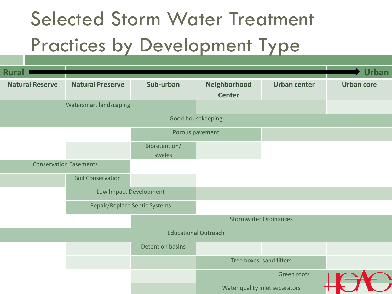### Selected Storm Water Treatment Practices by Development Type

| <b>Rural</b>                  |                               |                          |               |                                |                   |  |
|-------------------------------|-------------------------------|--------------------------|---------------|--------------------------------|-------------------|--|
| <b>Natural Reserve</b>        | <b>Natural Preserve</b>       | Sub-urban                | Neighborhood  | <b>Urban center</b>            | <b>Urban core</b> |  |
|                               |                               |                          | <b>Center</b> |                                |                   |  |
| <b>Watersmart landscaping</b> |                               |                          |               |                                |                   |  |
| Good housekeeping             |                               |                          |               |                                |                   |  |
|                               |                               | Porous pavement          |               |                                |                   |  |
|                               |                               | Bioretention/            |               |                                |                   |  |
|                               |                               | swales                   |               |                                |                   |  |
| <b>Conservation Easements</b> |                               |                          |               |                                |                   |  |
|                               | <b>Soil Conservation</b>      |                          |               |                                |                   |  |
|                               | Low Impact Development        |                          |               |                                |                   |  |
|                               | Repair/Replace Septic Systems |                          |               |                                |                   |  |
|                               |                               |                          |               |                                |                   |  |
| <b>Educational Outreach</b>   |                               |                          |               |                                |                   |  |
|                               |                               | <b>Detention basins</b>  |               |                                |                   |  |
|                               |                               | Tree boxes, sand filters |               |                                |                   |  |
|                               |                               |                          |               | Green roofs                    |                   |  |
|                               |                               |                          |               | Water quality inlet separators |                   |  |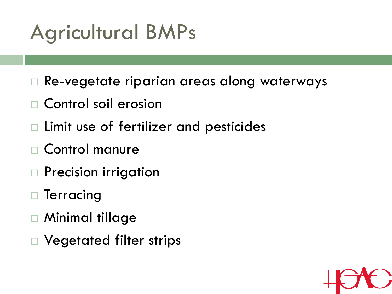## Agricultural BMPs

- Re-vegetate riparian areas along waterways
- Control soil erosion
- Limit use of fertilizer and pesticides
- Control manure
- Precision irrigation
- Terracing
- Minimal tillage
- Vegetated filter strips

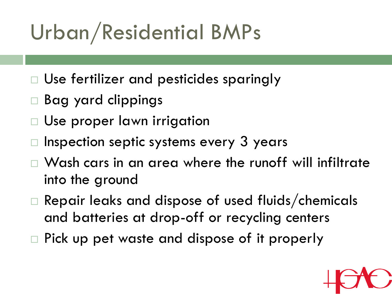# Urban/Residential BMPs

- Use fertilizer and pesticides sparingly
- Bag yard clippings
- Use proper lawn irrigation
- Inspection septic systems every 3 years
- Wash cars in an area where the runoff will infiltrate into the ground
- □ Repair leaks and dispose of used fluids/chemicals and batteries at drop-off or recycling centers
- Pick up pet waste and dispose of it properly

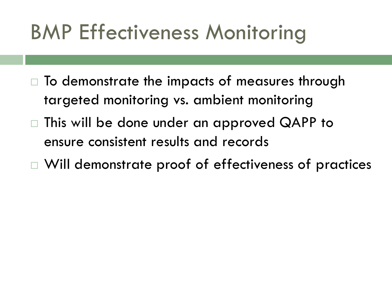### BMP Effectiveness Monitoring

- $\Box$  To demonstrate the impacts of measures through targeted monitoring vs. ambient monitoring
- This will be done under an approved QAPP to ensure consistent results and records
- Will demonstrate proof of effectiveness of practices